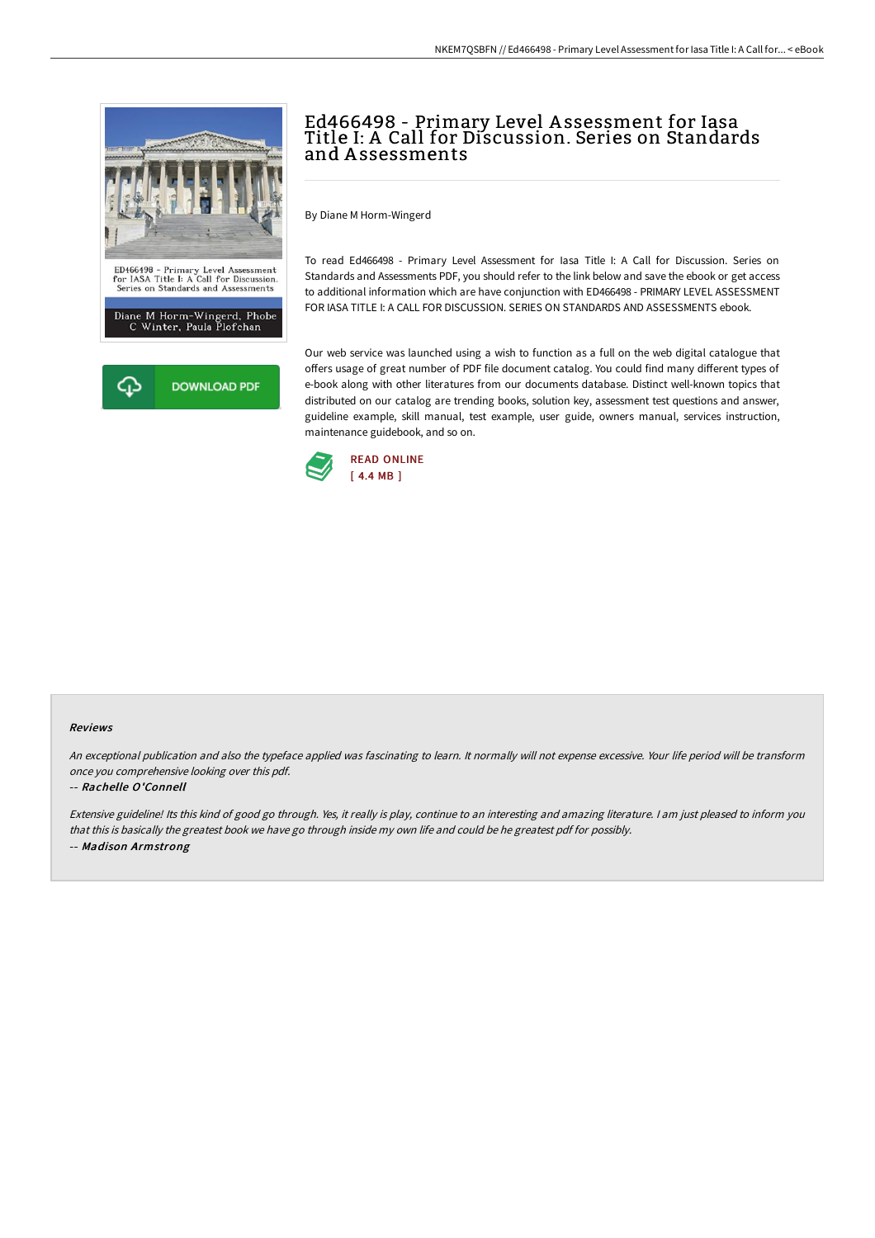

# Ed466498 - Primary Level A ssessment for Iasa Title I: A Call for Discussion. Series on Standards and A ssessments

By Diane M Horm-Wingerd

To read Ed466498 - Primary Level Assessment for Iasa Title I: A Call for Discussion. Series on Standards and Assessments PDF, you should refer to the link below and save the ebook or get access to additional information which are have conjunction with ED466498 - PRIMARY LEVEL ASSESSMENT FOR IASA TITLE I: A CALL FOR DISCUSSION. SERIES ON STANDARDS AND ASSESSMENTS ebook.

Our web service was launched using a wish to function as a full on the web digital catalogue that offers usage of great number of PDF file document catalog. You could find many different types of e-book along with other literatures from our documents database. Distinct well-known topics that distributed on our catalog are trending books, solution key, assessment test questions and answer, guideline example, skill manual, test example, user guide, owners manual, services instruction, maintenance guidebook, and so on.



#### Reviews

An exceptional publication and also the typeface applied was fascinating to learn. It normally will not expense excessive. Your life period will be transform once you comprehensive looking over this pdf.

### -- Rachelle O'Connell

Extensive guideline! Its this kind of good go through. Yes, it really is play, continue to an interesting and amazing literature. <sup>I</sup> am just pleased to inform you that this is basically the greatest book we have go through inside my own life and could be he greatest pdf for possibly. -- Madison Armstrong